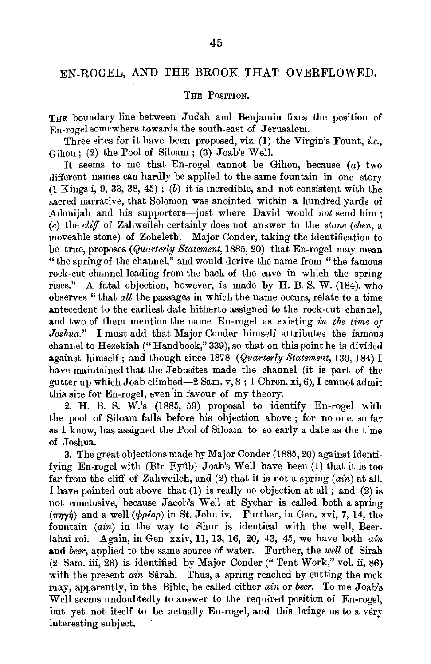## EN-ROGEL, AND THE BROOK THAT OVERFLOWED.

## THE POSITION.

THE boundary line between Judah and Benjamin fixes the position of Eu-rogel somewhere towards the south-east of Jerusalem.

Three sites for it have been proposed, viz. (1) the Virgin's Fount, *i.e.,*  Gihon : (2) the Pool of Siloam ; (3) Joab's Well.

It seems to me that En-rogel cannot be Gihon, because  $(a)$  two different names can hardly be applied to the same fountain in one story (1 Kings i, 9, 33, 38, 45) ; (b) it is incredible, and not consistent with the sacred narrative, that Solomon was anointed within a hundred yards of Adonijah and his supporters-just where David would *not* send him; (c) the *cliff* of Zahweileh certainly does not answer to the *stone (eben,* a moveable stone) of Zoheleth. Major Conder, taking the identification to be true, proposes *(Quarterly Statement,* 1885, 20) that En-rogel may mean " the spring of the channel," and would derive the name from "the famous rock-cut channel leading from the back of the cave in which the spring rises." A fatal objection, however, is made by H. B. S. W.  $(184)$ , who observes "that *all* the passages in which the name occurs, relate to a time antecedent to the earliest date hitherto assigned to the rock-cut channel, and two of them mention the name En-rogel as existing *in the time or Joshua."* I must add that Major Conder himself attributes the famous channel to Hezekiah ("Handbook," 339), so that on this point he is divided against himself; and though since 1878 *(Quarterly Statement,* 130, 184) I have maintained that the Jebusites made the channel (it is part of the gutter up which Joab climbed-2 Sam. v, 8; 1 Chron. xi, 6), I cannot admit this site for En-rogel, even in favour of my theory.

2. H. B. S.  $\widetilde{W}$ .'s (1885, 59) proposal to identify En-rogel with the pool of Siloam falls before his objection above ; for no one, so far as I know, has assigned the Pool of Siloam to so early a date as the time of Joshua.

3. The great objections made by Major Conder (1885, 20) against identifying En-rogel with (Bir Eyûb) Joab's Well have been  $(1)$  that it is too far from the cliff of Zahweileh, and  $(2)$  that it is not a spring  $(ain)$  at all. I have pointed out above that (1) is really no objection at all; and (2) is not conclusive, because Jacob's Well at Sychar is called both a spring  $(\pi\eta\gamma\eta)$  and a well ( $\phi\rho\epsilon a\rho$ ) in St. John iv. Further, in Gen. xvi, 7, 14, the fountain  $(ain)$  in the way to Shur is identical with the well, Beerlahai-roi. Again, in Gen. xxiv, 11, 13, 16, 20, 43, 45, we have both *ain*  and *beer,* applied to the same source of water. Further, the *well* of Sirah (2 Sam. iii, 26) is identified by Major Conder (" Tent Work," vol. ii, 86) with the present *ain* Sârah. Thus, a spring reached by cutting the rock may, apparently, in the Bible, be called either *ain* or *beer.* To me Joab's Well seems undoubtedly to answer to the required position of En-rogel, but yet not itself to be actually En-rogel, and this brings us to a very interesting subject.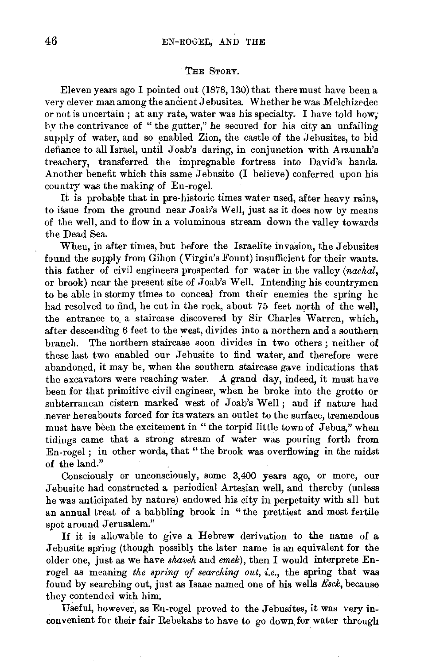## THE STORY.

Eleven years ago I pointed out (1878, 130) that there must have been a very clever man among the ancient J ebusites. Whether he was Melchizedec or not is uncertain ; at any rate, water was his specialty. I have told how; by the contrivance of "the gutter," he secured for his city an unfailing supply of water, and so enabled Zion, the castle of the Jebusites, to bid defiance to all Israel, until Joab's daring, in conjunction with Araunah's treachery, transferred the impregnable fortress into David's hands. Another benefit which this same Jebusite (I believe) conferred upon his country was the making of En-rogel.

It is probable that in pre-historic times water used, after heavy rains, to issue from the ground near Joab's Well, just as it does now by means of the well, and to flow in a voluminous stream down the valley towards the Dead Sea.

When, in after times, but before the Israelite invasion, the Jebusites found the supply from Gihon (Virgin's Fount) insufficient for their wants. this father of civil engineers prospected for water in the valley *(nachal,*  or brook) near the present site of Joab's Well. Intending his countrymen to be able in stormy times to conceal from their enemies the spring he had resolved to find, he cut in the rock, about 75 feet north of the well, the entrance to a staircase discovered by Sir Charles Warren, which, after descending 6 feet to the west, divides into a northern and a southern branch. The northern staircase soon divides in two others ; neither of these last two enabled our Jebusite to find water, and therefore were abandoned, it may be, when the southern staircase gave indications that the excavators were reaching water. A grand day, indeed, it must have been for that primitive civil engineer, when he broke into the grotto or subterranean cistern marked west of Joab's Well; and if nature had never hereabouts forced for its waters an outlet to the surface, tremendous must have been the excitement in "the torpid little town of Jebus," when tidings came that a strong stream of water was pouring forth from En-rogel ; in other words, that" the brook was overflowing in the midst of the land."

Consciously or unconsciously, some 3,400 years ago, or more, our Jebusite had constructed a periodical Artesian well, and thereby (unless he was anticipated by nature) endowed his city in perpetuity with all but an annual treat of a babbling brook in " the prettiest and most fertile spot around Jerusalem."

If it is allowable to give a Hebrew derivation to the name of a Jebusite spring (though possibly the later name is an equivalent for the older one, just as we have *shaveh* and *emek),* then I would interprete Enrogel as meaning *the spring of searching out, i.e.,* the spring that was found by searching out, just as Isaac named one of his wells *Esck*, because they contended with him.

Useful, however, as En-rogel proved to the Jebusites, it was very inconvenient for their fair Rebekahs to have to go down. for water through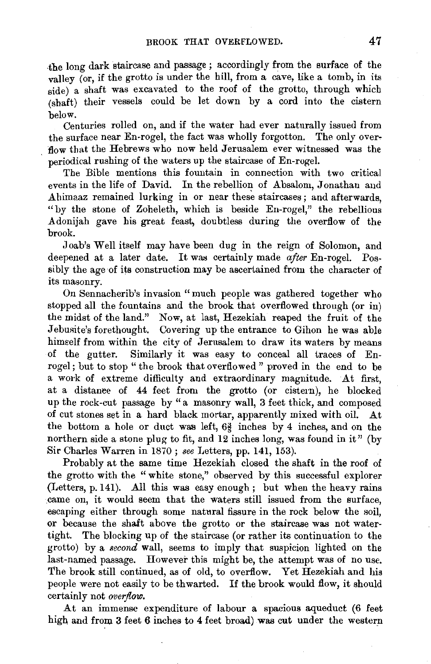$th$ e long dark staircase and passage; accordingly from the surface of the valley (or, if the grotto is under the hill, from a cave, like a tomb, in its side) a shaft was excavated to the roof of the grotto, through which {shaft) their vessels could be let down by a cord into the cistern below.

Centuries rolled on, and if the water had ever naturally issued from the surface near  $En$ -rogel, the fact was wholly forgotton. The only overflow that the Hebrews who now held Jerusalem ever witnessed was the periodical rushing of the waters up the staircase of En-rogel.

The Bible mentions this fountain in connection with two critical events in the life of David. In the rebellion of Absalom, Jonathan and Ahimaaz remained lurking in or near these staircases ; and afterwards, "by the stone of Zoheleth, which is beside En-rogel," the rebellious Adonijah gave his great feast, doubtless during the overflow of the brook.

Joab's Well itself may have been dug in the reign of Solomon, and deepened at a later date. It was certainly made *after* En-rogel. Possibly the age of its construction may be ascertained from the character of its masonry.

On Sennacherib's invasion "much people was gathered together who stopped all the fountains and the brook that overflowed through (or in) the midst of the land." Now, at last, Hezekiah reaped the fruit of the Jebusite's forethought. Covering up the entrance to Gihon he was able himself from within the city of Jerusalem to draw its waters by means of the gutter. Similarly it was easy to conceal all traces of Enrogel; but to stop " the brook that overflowed " proved in the end to be a work of extreme difficulty and extraordinary magnitude. At first, at a distance of 44 feet from the grotto (or cistem), he blocked up the rock-cut passage by "a masonry wall, 3 feet thick, and composed of cut stones set in a hard black mortar, apparently mixed with oil. At the bottom a hole or duct was left, *6§* inches by 4 inches, and on the northern side a stone plug to fit, and 12 inches long, was found in it" (by Sir Charles Warren in 1870; *see* Letters, pp. 141, 153).

Probably at the same time Hezekiah closed the shaft in the roof of the grotto with the "white stone," observed by this successful explorer (Letters, p. 141). All this was easy enough; but when the heavy rains came on, it would seem that the waters still issued from the surface, escaping either through some natural fissure in the rock below the soil, or because the shaft above the grotto or the staircase was not watertight. The blocking up of the staircase (or rather its continuation to the grotto) by a *second* wall, seems to imply that suspicion lighted on the last-named passage. However this might be, the attempt was of no use. The brook still continued, as of old, to overflow. Yet Hezekiah and his people were not easily to be thwarted. If the brook would flow, it should certainly not *overflow.* 

At an immense expenditure of labour a spacious aqueduct (6 feet high and from 3 feet 6 inches to 4 feet broad) was cut under the western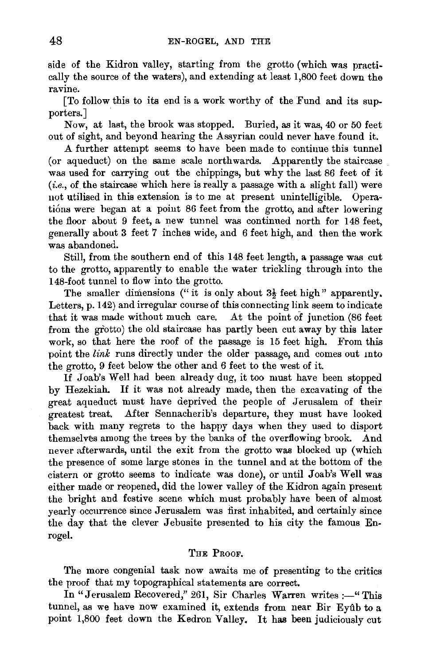side of the Kidron valley, starting from the grotto (which was practically the source of the waters), and extending at least 1,800 feet down the ravine.

[To follow this to its end is a work worthy of the Fund and its supporters.

Now, at last, the brook was stopped. Buried, as it was, 40 or 50 feet out of sight, and beyond hearing the Assyrian could never have found it.

A further attempt seems to have been made to continue this tunnel (or aqueduct) on the same scale northwards. Apparently the staircase was used for carrying out the chippings, but why the last 86 feet of it (i.e., of the staircase which here is really a passage with a slight fall) were not utilised in this extension is to me at present unintelligible. Operations were began at a point 86 feet from the grotto, and after lowering the floor about 9 feet, a new tunnel was continued north for 148 feet, generally about 3 feet 7 inches wide, and 6 feet high, and then the work was abandoned.

Still, from the southern end of this 148 feet length, a passage was cut to the grotto, apparently to enable the water trickling through into the 148-foot tunnel to flow into the grotto.

The smaller dimensions ("it is only about  $3\frac{1}{2}$  feet high" apparently. Letters, p. 142) and irregular course of this connecting link seem to indicate that it was made without much care. At the point of junction (86 feet from the grotto) the old staircase has partly been cut away by this later work, so that here the roof of the passage is 15 feet high. From this point the *link* runs directly under the older passage, and comes out mto the grotto, 9 feet below the other and 6 feet to the west of it.

If Joab's Well had been already dug, it too must have been stopped by Hezekiah. If it was not already made, then the excavating of the great aqueduct must have deprived the people of Jerusalem of their greatest treat. After Sennacherib's departure, they must have looked back with many regrets to the happy days when they used to disport themselves among the trees by the banks of the overflowing brook. And never afterwards, until the exit from the grotto was blocked up (which the presence of some large stones in the tunnel and at the bottom of the cistern or grotto seems to indicate was done), or until Joab's Well was either made or reopened, did the lower valley of the Kidron again present the bright and festive scene which must probably have been of almost yearly occurrence since Jerusalem was first inhabited, and certainly since the day that the clever Jebusite presented to his city the famous Enrogel.

## THE PROOF.

The more congenial task now awaits me of presenting to the critics the proof that my topographical statements are correct.

In "Jerusalem Recovered," 261, Sir Charles Warren writes :- "This tunnel, as we have now examined it, extends from near Bir Eyflb to a point 1,800 feet down the Kedron Valley. It has been judiciously cut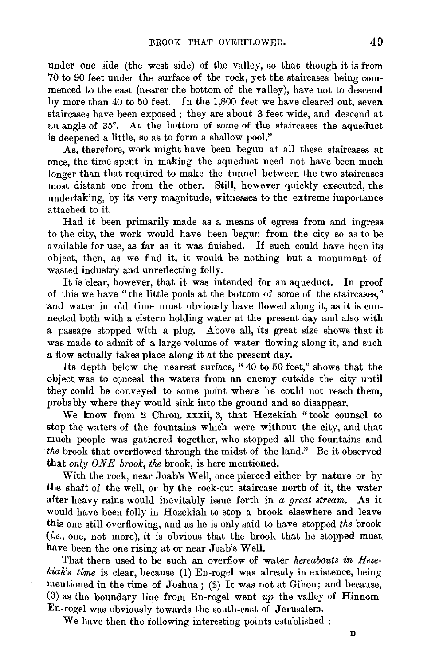under one side (the west side) of the valley, so that though it is from 70 to 90 feet under the surface of the rock, yet the staircases being commenced to the east (nearer the bottom of the valley), have not to descend by more than 40 to 50 feet. In the 1,800 feet we have cleared out, seven staircases have been exposed ; they are about 3 feet wide, and descend at an angle of 35°. At the bottom of some of the staircases the aqueduct is deepened a little, so as to form a shallow pool."

·As, therefore, work might have been begun at all these staircases at once, the time spent in making the aqueduct need not have been much longer than that required to make the tunnel between the two staircases most distant one from the other. Still, however quickly executed, the undertaking, by its very magnitude, witnesses to the extreme importance attached to it.

Had it been primarily made as a means of egress from aud ingress to the city, the work would have been begun from the city so as to be available for use, as far as it was finished. If such could have been its object, then, as we find it, it would be nothing but a monument of wasted industry and unreflecting folly.

It is dear, however, that it was intended for an aqueduct. In proof of this we have "the little pools at the bottom of some of the staircases," and water in old time must obviously have flowed along it, as it is connected both with a cistern holding water at the present day and also with a passage stopped with a plug. Above all, its great size shows that it was made to admit of a large volume of water flowing along it, and such a flow actually takes place along it at the present day.

Its depth below the nearest surface, " 40 to 50 feet," shows that the object was to conceal the waters from an enemy outside the city until they could be conveyed to some point where he could not reach them, probably where they would sink into the ground and so disappear.

We know from 2 Chron. xxxii, 3, that Hezekiah "took counsel to stop the waters of the fountains which were without the city, and that much people was gathered together, who stopped all the fountains and *the* brook that overflowed through the midst of the land." Be it observed that *only ONE* brook, the brook, is here mentioned.

With the rock, near Joab's Well, once pierced either by nature or by the shaft of the well, or by the rock-cut staircase north of it, the water after heavy rains would inevitably issue forth in *a great stream.* As it would have been folly in Hezekiah to stop a brook elsewhere and leave this one still overflowing, and as he is only said to have stopped *the* brook *(i.e.,* one, not more), it is obvious that the brook that he stopped must have been the one rising at or near Joab's Well.

That there used to be such an overflow of water *hereabouts in Hezekiah's time* is clear, because (1) En-rogel was already in existence, being mentioned in the time of Joshua; (2) It was not at Gihon; and because, (3) as the boundary line from En-rogel went *up* the valley of Hinnom En-rogel was obviously towards the south-east of Jerusalem.

We have then the following interesting points established :--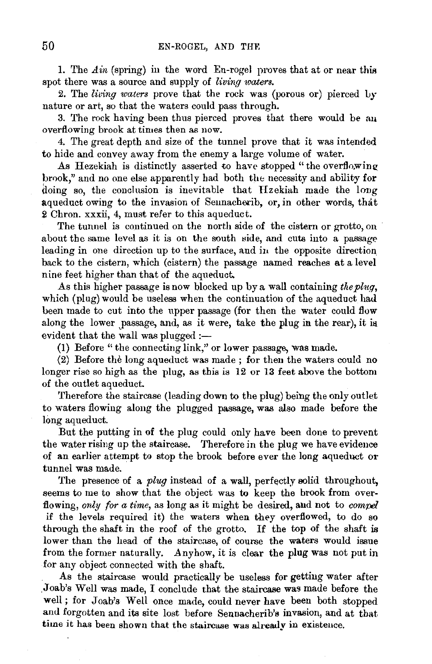1. The  $\Delta$ *in* (spring) in the word En-rogel proves that at or near this spot there was a source and supply of *living waters*.

2. The *living waters* prove that the rock was (porous or) pierced Ly nature or art, so that the waters could pass through.

3. The rock having been thus pierced proves that there would be au overflowing brook at times then as now.

4. The great depth and size of the tunnel prove that it was intended to hide and convey away from the enemy a large volume of water.

As Hezekiah is distinctly asserted to have stopped "the overflowing brook," and no one else apparently had both the necessity and ability for doing so, the conclusion is inevitable that Hzekiah made the long aqueduct owing to the invasion of Sennacherib, or, in other words, that 2 Chron. xxxii, 4, must refer to this aqueduct.

The tunnel is continued on the north side of the cistern or grotto, on about the same level as it is on the south side, and cuts into a passage leading in one direction up to the surface, and in the opposite direction. back to the cistern, which (cistern) the passage named reaches at a level nine feet higher than that of the aqueduct.

As this higher passage is now blocked up by a wall containing the pluq, which (plug) would be useless when the continuation of the aqueduct had been made to cut into the upper passage (for then the water could flow along the lower passage, and, as it were, take the plug in the rear), it is evident that the wall was plugged :-

(1) Before "the connecting link," or lower passage, was made.

(2) Before the long aqueduct was made ; for then the waters could no longer rise so high as the plug, as this is 12 or 13 feet above the bottom of the outlet aqueduct.

Therefore the staircase (leading down to the plug) being the only outlet to waters flowing along the plugged passage, was also made before the long aqueduct.

But the putting in of the plug could only have been done to prevent the water rising up the staircase. Therefore in the plug we have evidence of an earlier attempt to stop the brook before ever the long aqueduct or tunnel was made.

The presence of a *plug* instead of a wall, perfectly solid throughout, seems to me to show that the object was to keep the brook from overflowing, *only for a time,* as long as it might be desired, and not to *compel*  if the levels required it) the waters when they overflowed, to do so through the shaft in the roof of the grotto. If the top of the shaft is lower than the head of the staircase, of course the waters would issue from the former naturally. Anyhow, it is clear the plug was not put in for any object connected with the shaft.

As the staircase would practically be useless for getting water after .Joab's Well was made, I conclude that the staircase was made before the well; for Joab's Well once made, could never have been both stopped and forgotten and its site lost before Sennacherib's invasion, and at that time it has been shown that the staircase was already in existence.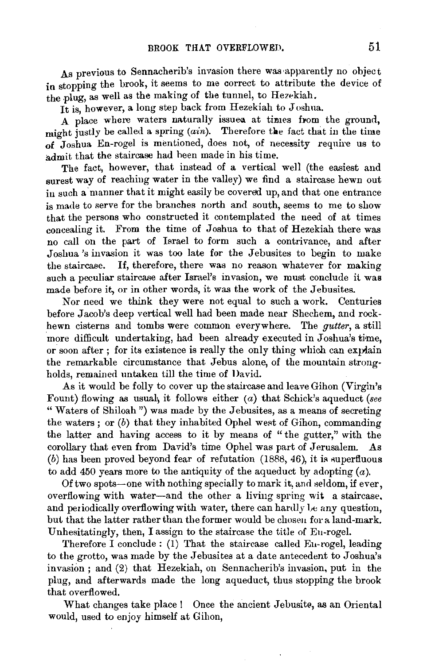As previous to Sennacherib's invasion there was apparently no object in stopping the brook, it seems to me correct to attribute the device of the plug, as well as the making of the tunnel, to Hezekiah.

It is, however, a long step back from Hezekiah to Joshua.

A place where waters naturally issued at times from the ground. might justly be called a spring  $(ain)$ . Therefore the fact that in the time  $\overline{\text{of}}$  Joshua En-rogel is mentioned, does not, of necessity require us to admit that the staircase had been made in his time.

The fact, however, that instead of a vertical well (the easiest and surest way of reaching water in the valley) we find a staircase hewn out in such a manner that it might easily be covered up, and that one entrance is made to serve for the branches north and south, seems to me to show that the persons who constructed it contemplated the need of at times concealing it. From the time of Joshua to that of Hezekiah there was no call on the part of Israel to form such a contrivance, and after Joshua's invasion it was too late for the Jebusites to begin to make the staircase. If, therefore, there was no reason whatever for making such a peculiar staircase after Israel's invasion, we must conclude it was made before it, or in other words, it was the work of the Jebusites.

Nor need we think they were not equal to such a work. Centuries before Jacob's deep vertical well had been made near Shechem, and rockhewn cisterns and tombs were common everywhere. The *gutter,* a still more difficult undertaking, had been already executed in Joshua's time. or soon after: for its existence is really the only thing which can explain the remarkable circumstance that Jebus alone, of the mountain strongholds, remained untaken till the time of David.

As it would be folly to cover up the staircase and leave Gihon (Virgin's Fount) flowing as usual\ it follows either (a) that Schick's aqueduct *(see*  "Waters of Shiloah") was made by the Jebusites, as a means of secreting the waters ; or (b) that they inhabited Ophel west of Gihon, commanding the latter and having access to it by means of " the gutter," with the corollary that even from David's time Ophel was part of Jerusalem. As  $(b)$  has been proved beyond fear of refutation (1888, 46), it is superfluous to add 450 years more to the antiquity of the aqueduct by adopting  $(a)$ .

Of two spots-one with nothing specially to mark it, and seldom, if ever, overflowing with water-and the other a living spring wit a staircase. and periodically overflowing with water, there can hardly be any question, but that the latter rather than the former would be choseu for a land-mark. Unhesitatingly, then, I assign to the staircase the title of Eu-rogel.

Therefore I conclude: (1) That the staircase called En-rogel, leading to the grotto, was made by the Jebusites at a date antecedent to Joshua's invasion ; and (2) that Hezekiah, on Sennacherib's invasion, put in the plug, and afterwards made the long aqueduct, thus stopping the brook that overflowed.

What changes take place! Once the ancient Jebusite, as an Oriental would, used to enjoy himself at Gihon,